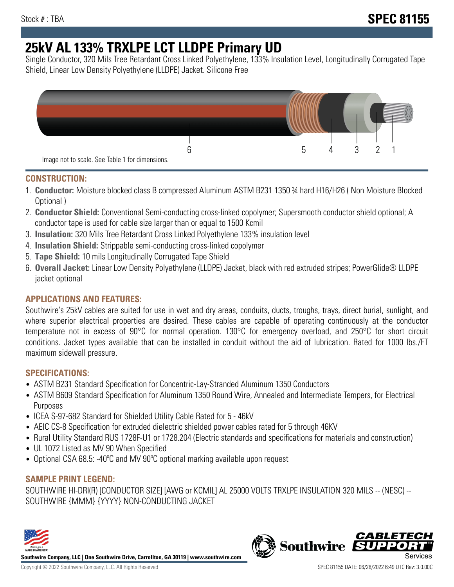# **25kV AL 133% TRXLPE LCT LLDPE Primary UD**

Single Conductor, 320 Mils Tree Retardant Cross Linked Polyethylene, 133% Insulation Level, Longitudinally Corrugated Tape Shield, Linear Low Density Polyethylene (LLDPE) Jacket. Silicone Free



## **CONSTRUCTION:**

- 1. **Conductor:** Moisture blocked class B compressed Aluminum ASTM B231 1350 ¾ hard H16/H26 ( Non Moisture Blocked Optional )
- 2. **Conductor Shield:** Conventional Semi-conducting cross-linked copolymer; Supersmooth conductor shield optional; A conductor tape is used for cable size larger than or equal to 1500 Kcmil
- 3. **Insulation:** 320 Mils Tree Retardant Cross Linked Polyethylene 133% insulation level
- 4. **Insulation Shield:** Strippable semi-conducting cross-linked copolymer
- 5. **Tape Shield:** 10 mils Longitudinally Corrugated Tape Shield
- 6. **Overall Jacket:** Linear Low Density Polyethylene (LLDPE) Jacket, black with red extruded stripes; PowerGlide® LLDPE jacket optional

## **APPLICATIONS AND FEATURES:**

Southwire's 25kV cables are suited for use in wet and dry areas, conduits, ducts, troughs, trays, direct burial, sunlight, and where superior electrical properties are desired. These cables are capable of operating continuously at the conductor temperature not in excess of 90°C for normal operation. 130°C for emergency overload, and 250°C for short circuit conditions. Jacket types available that can be installed in conduit without the aid of lubrication. Rated for 1000 lbs./FT maximum sidewall pressure.

### **SPECIFICATIONS:**

- ASTM B231 Standard Specification for Concentric-Lay-Stranded Aluminum 1350 Conductors
- ASTM B609 Standard Specification for Aluminum 1350 Round Wire, Annealed and Intermediate Tempers, for Electrical Purposes
- ICEA S-97-682 Standard for Shielded Utility Cable Rated for 5 46kV
- AEIC CS-8 Specification for extruded dielectric shielded power cables rated for 5 through 46KV
- Rural Utility Standard RUS 1728F-U1 or 1728.204 (Electric standards and specifications for materials and construction)
- UL 1072 Listed as MV 90 When Specified
- Optional CSA 68.5: -40°C and MV 90°C optional marking available upon request

### **SAMPLE PRINT LEGEND:**

SOUTHWIRE HI-DRI(R) [CONDUCTOR SIZE] [AWG or KCMIL] AL 25000 VOLTS TRXLPE INSULATION 320 MILS -- (NESC) -- SOUTHWIRE {MMM} {YYYY} NON-CONDUCTING JACKET



**Southwire Company, LLC | One Southwire Drive, Carrollton, GA 30119 | www.southwire.com**